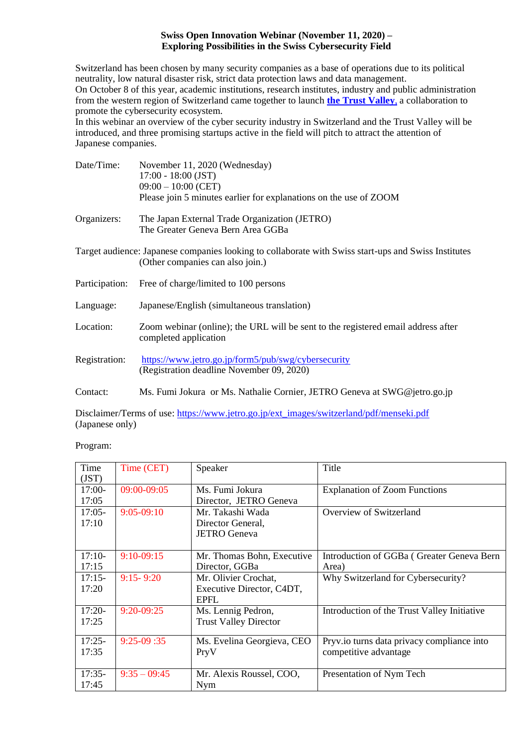### **Swiss Open Innovation Webinar (November 11, 2020) – Exploring Possibilities in the Swiss Cybersecurity Field**

Switzerland has been chosen by many security companies as a base of operations due to its political neutrality, low natural disaster risk, strict data protection laws and data management. On October 8 of this year, academic institutions, research institutes, industry and public administration from the western region of Switzerland came together to launch **[the Trust Valley](https://trustvalley.swiss/en/)**, a collaboration to promote the cybersecurity ecosystem.

In this webinar an overview of the cyber security industry in Switzerland and the Trust Valley will be introduced, and three promising startups active in the field will pitch to attract the attention of Japanese companies.

| Date/Time:     | November 11, 2020 (Wednesday)<br>$17:00 - 18:00$ (JST)                                                                                   |  |  |
|----------------|------------------------------------------------------------------------------------------------------------------------------------------|--|--|
|                | $09:00 - 10:00$ (CET)                                                                                                                    |  |  |
|                | Please join 5 minutes earlier for explanations on the use of ZOOM                                                                        |  |  |
| Organizers:    | The Japan External Trade Organization (JETRO)<br>The Greater Geneva Bern Area GGBa                                                       |  |  |
|                | Target audience: Japanese companies looking to collaborate with Swiss start-ups and Swiss Institutes<br>(Other companies can also join.) |  |  |
| Participation: | Free of charge/limited to 100 persons                                                                                                    |  |  |
| Language:      | Japanese/English (simultaneous translation)                                                                                              |  |  |
| Location:      | Zoom webinar (online); the URL will be sent to the registered email address after<br>completed application                               |  |  |
| Registration:  | https://www.jetro.go.jp/form5/pub/swg/cybersecurity<br>(Registration deadline November 09, 2020)                                         |  |  |
| Contact:       | Ms. Fumi Jokura or Ms. Nathalie Cornier, JETRO Geneva at SWG@jetro.go.jp                                                                 |  |  |

Disclaimer/Terms of use[: https://www.jetro.go.jp/ext\\_images/switzerland/pdf/menseki.pdf](https://www.jetro.go.jp/ext_images/switzerland/pdf/menseki.pdf) (Japanese only)

Program:

| Time     | Time (CET)     | Speaker                      | Title                                       |
|----------|----------------|------------------------------|---------------------------------------------|
| (JST)    |                |                              |                                             |
| $17:00-$ | 09:00-09:05    | Ms. Fumi Jokura              | <b>Explanation of Zoom Functions</b>        |
| 17:05    |                | Director, JETRO Geneva       |                                             |
| $17:05-$ | $9:05-09:10$   | Mr. Takashi Wada             | Overview of Switzerland                     |
| 17:10    |                | Director General,            |                                             |
|          |                | <b>JETRO</b> Geneva          |                                             |
|          |                |                              |                                             |
| $17:10-$ | $9:10-09:15$   | Mr. Thomas Bohn, Executive   | Introduction of GGBa (Greater Geneva Bern   |
| 17:15    |                | Director, GGBa               | Area)                                       |
| $17:15-$ | $9:15 - 9:20$  | Mr. Olivier Crochat,         | Why Switzerland for Cybersecurity?          |
| 17:20    |                | Executive Director, C4DT,    |                                             |
|          |                | <b>EPFL</b>                  |                                             |
| $17:20-$ | $9:20-09:25$   | Ms. Lennig Pedron,           | Introduction of the Trust Valley Initiative |
| 17:25    |                | <b>Trust Valley Director</b> |                                             |
|          |                |                              |                                             |
| $17:25-$ | $9:25-09:35$   | Ms. Evelina Georgieva, CEO   | Pryv.io turns data privacy compliance into  |
| 17:35    |                | PryV                         | competitive advantage                       |
|          |                |                              |                                             |
| $17:35-$ | $9:35 - 09:45$ | Mr. Alexis Roussel, COO,     | Presentation of Nym Tech                    |
| 17:45    |                | Nym                          |                                             |